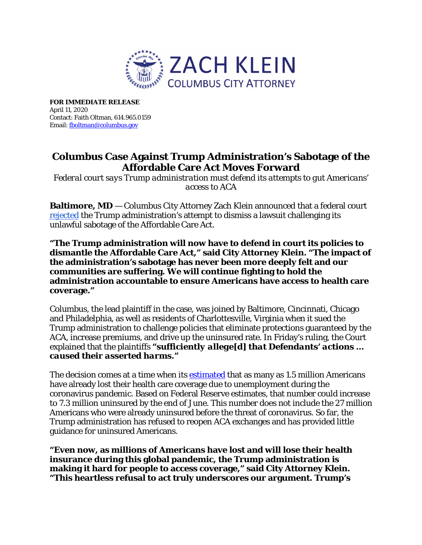

**FOR IMMEDIATE RELEASE** April 11, 2020 Contact: Faith Oltman, 614.965.0159 Email[: fboltman@columbus.gov](mailto:fboltman@columbus.gov)

## **Columbus Case Against Trump Administration's Sabotage of the Affordable Care Act Moves Forward**

*Federal court says Trump administration must defend its attempts to gut Americans' access to ACA*

**Baltimore, MD** — Columbus City Attorney Zach Klein announced that a federal court [rejected](https://democracyforward.org/wp-content/uploads/2020/04/ACA-DE-102-Memorandum-Opinion-on-MTD-4.10.20.pdf) the Trump administration's attempt to dismiss a lawsuit challenging its unlawful sabotage of the Affordable Care Act.

**"The Trump administration will now have to defend in court its policies to dismantle the Affordable Care Act," said City Attorney Klein. "The impact of the administration's sabotage has never been more deeply felt and our communities are suffering. We will continue fighting to hold the administration accountable to ensure Americans have access to health care coverage."**

Columbus, the lead plaintiff in the case, was joined by Baltimore, Cincinnati, Chicago and Philadelphia, as well as residents of Charlottesville, Virginia when it sued the Trump administration to challenge policies that eliminate protections guaranteed by the ACA, increase premiums, and drive up the uninsured rate. In Friday's ruling, the Court explained that the plaintiffs **"***sufficiently allege[d] that Defendants' actions … caused their asserted harms.***"**

The decision comes at a time when its [estimated](https://annals.org/aim/fullarticle/2764415/intersecting-u-s-epidemics-covid-19-lack-health-insurance?utm_campaign=wp_the_health_202&utm_medium=email&utm_source=newsletter&wpisrc=nl_health202) that as many as 1.5 million Americans have already lost their health care coverage due to unemployment during the coronavirus pandemic. Based on Federal Reserve estimates, that number could increase to 7.3 million uninsured by the end of June. This number does not include the 27 million Americans who were already uninsured before the threat of coronavirus. So far, the Trump administration has refused to reopen ACA exchanges and has provided little guidance for uninsured Americans.

**"Even now, as millions of Americans have lost and will lose their health insurance during this global pandemic, the Trump administration is making it hard for people to access coverage," said City Attorney Klein. "This heartless refusal to act truly underscores our argument. Trump's**